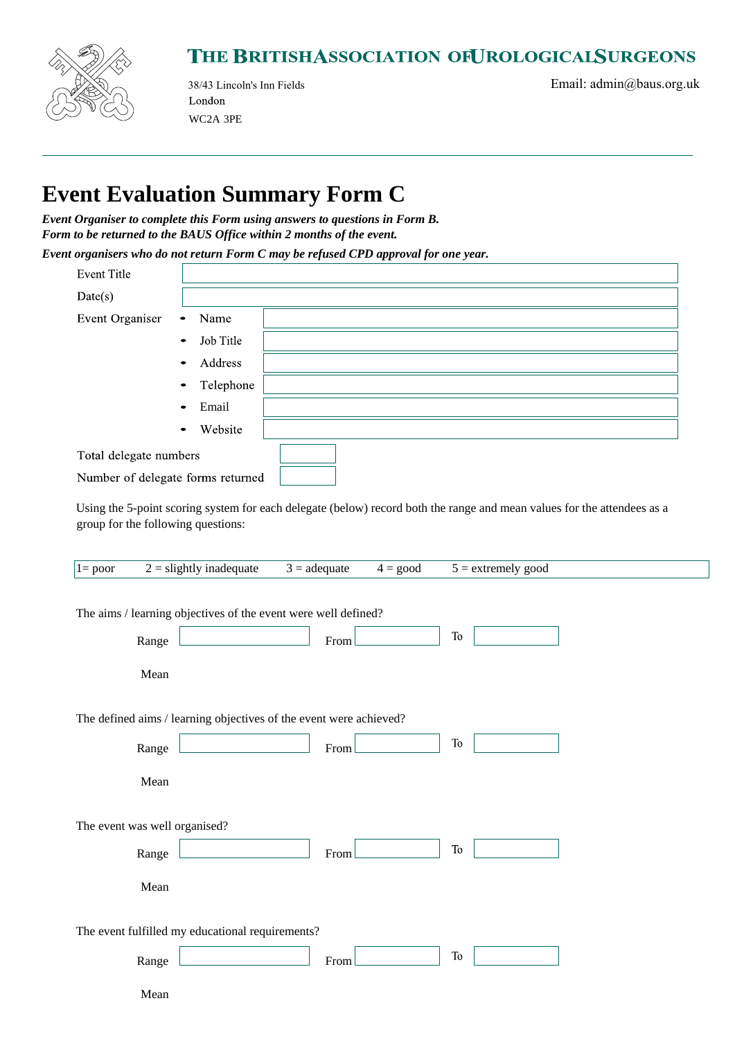

## THE BRITISHASSOCIATION OFUROLOGICALSURGEONS

London WC2A 3PE

38/43 Lincoln's Inn Fields Email: admin@baus.org.uk

## **Event Evaluation Summary Form C**

*Event Organiser to complete this Form using answers to questions in Form B. Form to be returned to the BAUS Office within 2 months of the event.*

*Event organisers who do not return Form C may be refused CPD approval for one year.*

| <b>Event Title</b>                |                        |  |
|-----------------------------------|------------------------|--|
| Date(s)                           |                        |  |
| Event Organiser                   | Name<br>$\bullet$      |  |
|                                   | Job Title<br>$\bullet$ |  |
|                                   | Address<br>$\bullet$   |  |
|                                   | Telephone<br>$\bullet$ |  |
|                                   | Email<br>$\bullet$     |  |
|                                   | Website<br>$\bullet$   |  |
| Total delegate numbers            |                        |  |
| Number of delegate forms returned |                        |  |

Using the 5-point scoring system for each delegate (below) record both the range and mean values for the attendees as a group for the following questions:

| $1 = poor$                                                         | $2 =$ slightly inadequate     | $3 = \text{adequate}$ | $4 = \text{good}$ | $5 =$ extremely good |  |  |  |
|--------------------------------------------------------------------|-------------------------------|-----------------------|-------------------|----------------------|--|--|--|
| The aims / learning objectives of the event were well defined?     |                               |                       |                   |                      |  |  |  |
|                                                                    | Range                         | From                  |                   | <b>To</b>            |  |  |  |
|                                                                    | Mean                          |                       |                   |                      |  |  |  |
| The defined aims / learning objectives of the event were achieved? |                               |                       |                   |                      |  |  |  |
|                                                                    | Range                         | From                  |                   | To                   |  |  |  |
|                                                                    | Mean                          |                       |                   |                      |  |  |  |
|                                                                    | The event was well organised? |                       |                   |                      |  |  |  |
|                                                                    | Range                         | From                  |                   | To                   |  |  |  |
|                                                                    | Mean                          |                       |                   |                      |  |  |  |
| The event fulfilled my educational requirements?                   |                               |                       |                   |                      |  |  |  |
|                                                                    | Range                         | From                  |                   | To                   |  |  |  |
|                                                                    | Mean                          |                       |                   |                      |  |  |  |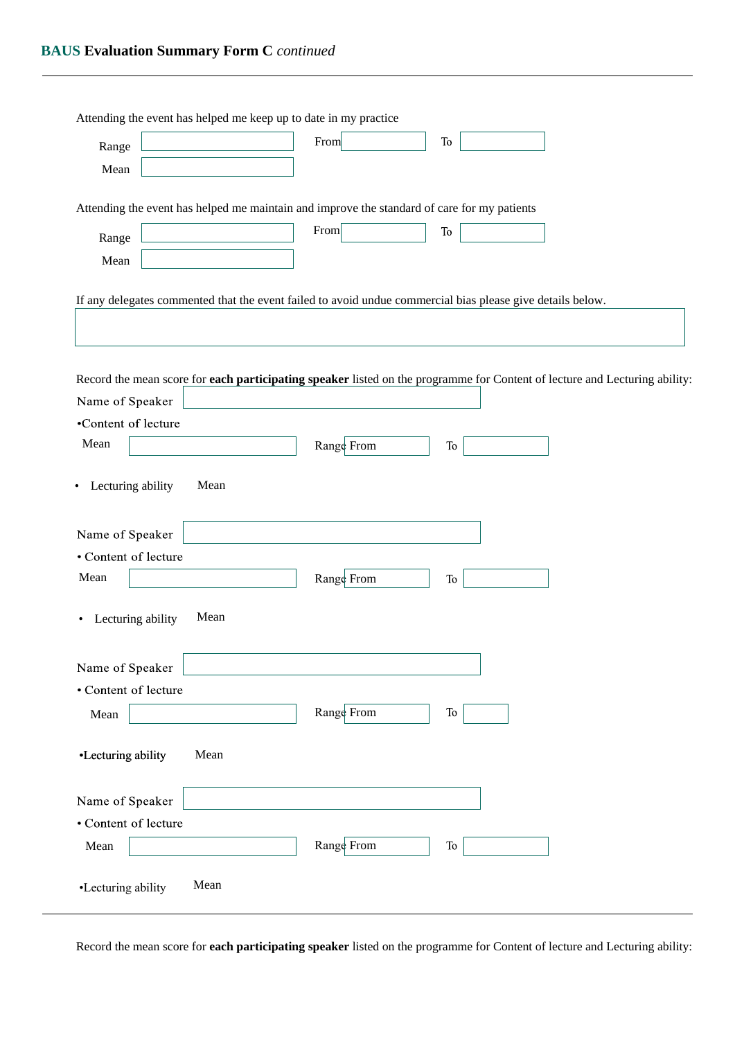| Attending the event has helped me keep up to date in my practice                                                           |            |            |  |
|----------------------------------------------------------------------------------------------------------------------------|------------|------------|--|
| Range                                                                                                                      | From       | <b>To</b>  |  |
| Mean                                                                                                                       |            |            |  |
|                                                                                                                            |            |            |  |
| Attending the event has helped me maintain and improve the standard of care for my patients                                |            |            |  |
| Range                                                                                                                      | From       | To         |  |
| Mean                                                                                                                       |            |            |  |
|                                                                                                                            |            |            |  |
| If any delegates commented that the event failed to avoid undue commercial bias please give details below.                 |            |            |  |
|                                                                                                                            |            |            |  |
|                                                                                                                            |            |            |  |
| Record the mean score for each participating speaker listed on the programme for Content of lecture and Lecturing ability: |            |            |  |
| Name of Speaker                                                                                                            |            |            |  |
| •Content of lecture                                                                                                        |            |            |  |
| Mean                                                                                                                       | Range From | ${\rm To}$ |  |
|                                                                                                                            |            |            |  |
| • Lecturing ability<br>Mean                                                                                                |            |            |  |
|                                                                                                                            |            |            |  |
| Name of Speaker                                                                                                            |            |            |  |
| • Content of lecture                                                                                                       |            |            |  |
| Mean                                                                                                                       | Range From | ${\rm To}$ |  |
| Mean                                                                                                                       |            |            |  |
| Lecturing ability<br>٠                                                                                                     |            |            |  |
|                                                                                                                            |            |            |  |
| Name of Speaker                                                                                                            |            |            |  |
| • Content of lecture                                                                                                       | Range From | ${\rm To}$ |  |
| Mean                                                                                                                       |            |            |  |
| Mean<br>•Lecturing ability                                                                                                 |            |            |  |
|                                                                                                                            |            |            |  |
| Name of Speaker                                                                                                            |            |            |  |
| • Content of lecture                                                                                                       |            |            |  |
| Mean                                                                                                                       | Range From | ${\rm To}$ |  |
|                                                                                                                            |            |            |  |
| Mean<br>•Lecturing ability                                                                                                 |            |            |  |
|                                                                                                                            |            |            |  |

Record the mean score for **each participating speaker** listed on the programme for Content of lecture and Lecturing ability: